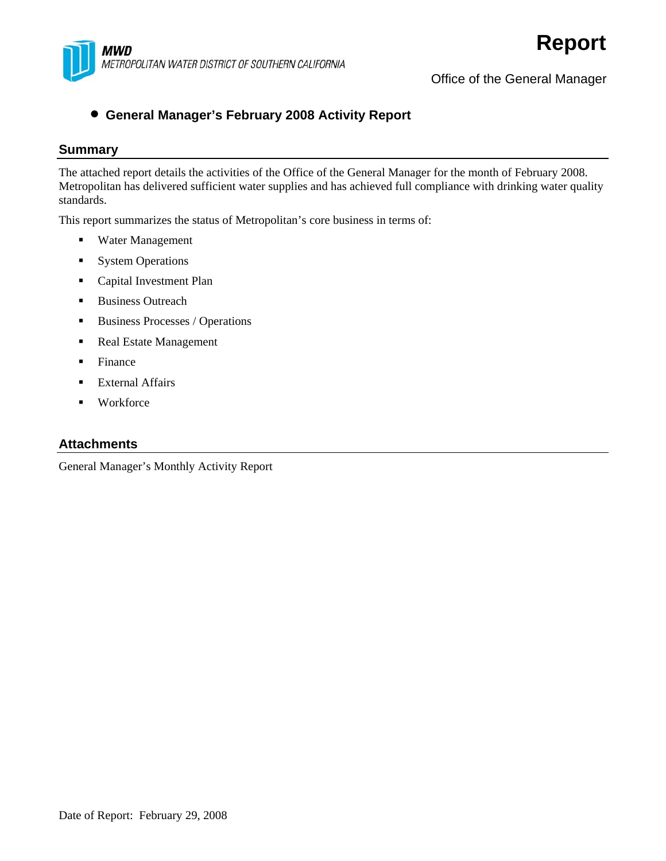

Office of the General Manager

#### • **General Manager's February 2008 Activity Report**

#### **Summary**

The attached report details the activities of the Office of the General Manager for the month of February 2008. Metropolitan has delivered sufficient water supplies and has achieved full compliance with drinking water quality standards.

This report summarizes the status of Metropolitan's core business in terms of:

- Water Management
- **System Operations**
- **Capital Investment Plan**
- Business Outreach
- Business Processes / Operations
- Real Estate Management
- Finance
- External Affairs
- **•** Workforce

#### **Attachments**

General Manager's Monthly Activity Report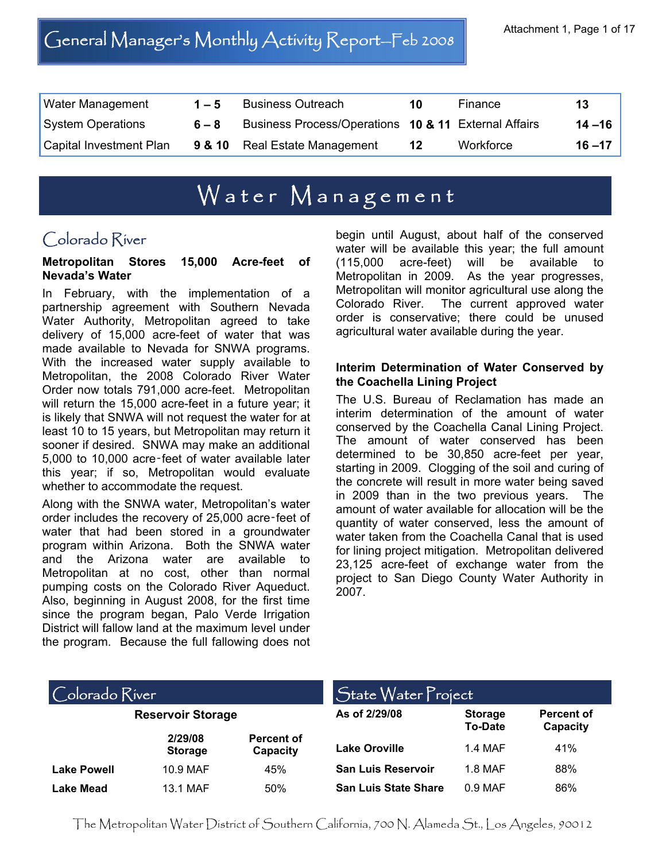# General Manager's Monthly Activity Report—Feb 2008 Attachment 1, Page 1 of 17

| <b>Water Management</b> | $1 - 5$ | <b>Business Outreach</b>                             | 10 | Finance   | 13        |
|-------------------------|---------|------------------------------------------------------|----|-----------|-----------|
| System Operations       | $6 - 8$ | Business Process/Operations 10 & 11 External Affairs |    |           | $14 - 16$ |
| Capital Investment Plan |         | <b>9 &amp; 10</b> Real Estate Management             | 12 | Workforce | $16 - 17$ |

# Water Management

## Colorado River

#### **Metropolitan Stores 15,000 Acre-feet of Nevada's Water**

In February, with the implementation of a partnership agreement with Southern Nevada Water Authority, Metropolitan agreed to take delivery of 15,000 acre-feet of water that was made available to Nevada for SNWA programs. With the increased water supply available to Metropolitan, the 2008 Colorado River Water Order now totals 791,000 acre-feet. Metropolitan will return the 15,000 acre-feet in a future year; it is likely that SNWA will not request the water for at least 10 to 15 years, but Metropolitan may return it sooner if desired. SNWA may make an additional 5,000 to 10,000 acre‑feet of water available later this year; if so, Metropolitan would evaluate whether to accommodate the request.

Along with the SNWA water, Metropolitan's water order includes the recovery of 25,000 acre‑feet of water that had been stored in a groundwater program within Arizona. Both the SNWA water and the Arizona water are available to Metropolitan at no cost, other than normal pumping costs on the Colorado River Aqueduct. Also, beginning in August 2008, for the first time since the program began, Palo Verde Irrigation District will fallow land at the maximum level under the program. Because the full fallowing does not

begin until August, about half of the conserved water will be available this year; the full amount (115,000 acre-feet) will be available to Metropolitan in 2009. As the year progresses, Metropolitan will monitor agricultural use along the Colorado River. The current approved water order is conservative; there could be unused agricultural water available during the year.

#### **Interim Determination of Water Conserved by the Coachella Lining Project**

The U.S. Bureau of Reclamation has made an interim determination of the amount of water conserved by the Coachella Canal Lining Project. The amount of water conserved has been determined to be 30,850 acre-feet per year, starting in 2009. Clogging of the soil and curing of the concrete will result in more water being saved in 2009 than in the two previous years. The amount of water available for allocation will be the quantity of water conserved, less the amount of water taken from the Coachella Canal that is used for lining project mitigation. Metropolitan delivered 23,125 acre-feet of exchange water from the project to San Diego County Water Authority in 2007.

#### $\bigcirc$ olorado  $\bigcirc$ iver

| <b>Reservoir Storage</b> |                           |                               |  |
|--------------------------|---------------------------|-------------------------------|--|
|                          | 2/29/08<br><b>Storage</b> | <b>Percent of</b><br>Capacity |  |
| <b>Lake Powell</b>       | 10.9 MAF                  | 45%                           |  |
| <b>Lake Mead</b>         | 13.1 MAF                  | 50%                           |  |

| State Water Project         |                                  |                        |  |  |
|-----------------------------|----------------------------------|------------------------|--|--|
| As of 2/29/08               | <b>Storage</b><br><b>To-Date</b> | Percent of<br>Capacity |  |  |
| Lake Oroville               | 1.4 MAF                          | 41%                    |  |  |
| <b>San Luis Reservoir</b>   | 1.8 MAF                          | 88%                    |  |  |
| <b>San Luis State Share</b> | 0.9 MAF                          | 86%                    |  |  |

The Metropolitan Water District of Southern California, 700 N. Alameda St., Los Angeles, 90012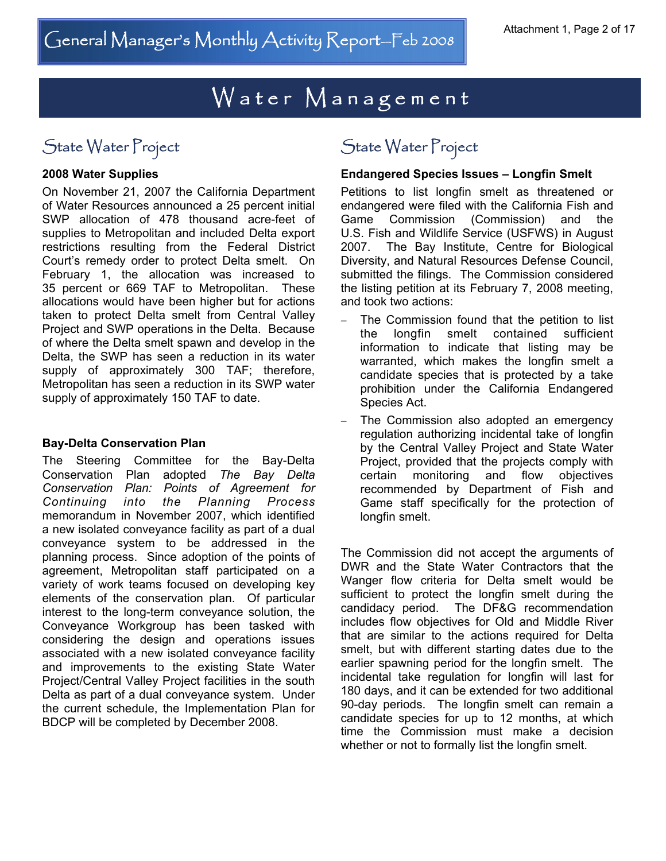## State Water Project State Water Project

#### **2008 Water Supplies**

On November 21, 2007 the California Department of Water Resources announced a 25 percent initial SWP allocation of 478 thousand acre-feet of supplies to Metropolitan and included Delta export restrictions resulting from the Federal District Court's remedy order to protect Delta smelt. On February 1, the allocation was increased to 35 percent or 669 TAF to Metropolitan. These allocations would have been higher but for actions taken to protect Delta smelt from Central Valley Project and SWP operations in the Delta. Because of where the Delta smelt spawn and develop in the Delta, the SWP has seen a reduction in its water supply of approximately 300 TAF; therefore, Metropolitan has seen a reduction in its SWP water supply of approximately 150 TAF to date.

#### **Bay-Delta Conservation Plan**

The Steering Committee for the Bay-Delta Conservation Plan adopted *The Bay Delta Conservation Plan: Points of Agreement for Continuing into the Planning Process* memorandum in November 2007, which identified a new isolated conveyance facility as part of a dual conveyance system to be addressed in the planning process. Since adoption of the points of agreement, Metropolitan staff participated on a variety of work teams focused on developing key elements of the conservation plan. Of particular interest to the long-term conveyance solution, the Conveyance Workgroup has been tasked with considering the design and operations issues associated with a new isolated conveyance facility and improvements to the existing State Water Project/Central Valley Project facilities in the south Delta as part of a dual conveyance system. Under the current schedule, the Implementation Plan for BDCP will be completed by December 2008.

#### **Endangered Species Issues – Longfin Smelt**

Petitions to list longfin smelt as threatened or endangered were filed with the California Fish and Game Commission (Commission) and the U.S. Fish and Wildlife Service (USFWS) in August 2007. The Bay Institute, Centre for Biological Diversity, and Natural Resources Defense Council, submitted the filings. The Commission considered the listing petition at its February 7, 2008 meeting, and took two actions:

- The Commission found that the petition to list the longfin smelt contained sufficient information to indicate that listing may be warranted, which makes the longfin smelt a candidate species that is protected by a take prohibition under the California Endangered Species Act.
- The Commission also adopted an emergency regulation authorizing incidental take of longfin by the Central Valley Project and State Water Project, provided that the projects comply with certain monitoring and flow objectives recommended by Department of Fish and Game staff specifically for the protection of longfin smelt.

The Commission did not accept the arguments of DWR and the State Water Contractors that the Wanger flow criteria for Delta smelt would be sufficient to protect the longfin smelt during the candidacy period. The DF&G recommendation includes flow objectives for Old and Middle River that are similar to the actions required for Delta smelt, but with different starting dates due to the earlier spawning period for the longfin smelt. The incidental take regulation for longfin will last for 180 days, and it can be extended for two additional 90-day periods. The longfin smelt can remain a candidate species for up to 12 months, at which time the Commission must make a decision whether or not to formally list the longfin smelt.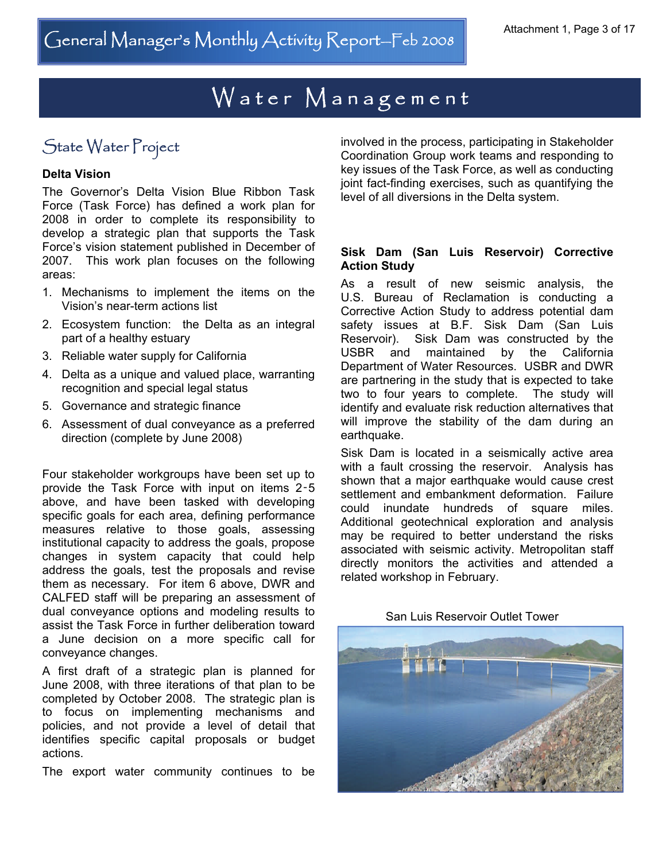## State Water Project

#### **Delta Vision**

The Governor's Delta Vision Blue Ribbon Task Force (Task Force) has defined a work plan for 2008 in order to complete its responsibility to develop a strategic plan that supports the Task Force's vision statement published in December of 2007. This work plan focuses on the following areas:

- 1. Mechanisms to implement the items on the Vision's near-term actions list
- 2. Ecosystem function: the Delta as an integral part of a healthy estuary
- 3. Reliable water supply for California
- 4. Delta as a unique and valued place, warranting recognition and special legal status
- 5. Governance and strategic finance
- 6. Assessment of dual conveyance as a preferred direction (complete by June 2008)

Four stakeholder workgroups have been set up to provide the Task Force with input on items 2‑5 above, and have been tasked with developing specific goals for each area, defining performance measures relative to those goals, assessing institutional capacity to address the goals, propose changes in system capacity that could help address the goals, test the proposals and revise them as necessary. For item 6 above, DWR and CALFED staff will be preparing an assessment of dual conveyance options and modeling results to assist the Task Force in further deliberation toward a June decision on a more specific call for conveyance changes.

A first draft of a strategic plan is planned for June 2008, with three iterations of that plan to be completed by October 2008. The strategic plan is to focus on implementing mechanisms and policies, and not provide a level of detail that identifies specific capital proposals or budget actions.

The export water community continues to be

involved in the process, participating in Stakeholder Coordination Group work teams and responding to key issues of the Task Force, as well as conducting joint fact-finding exercises, such as quantifying the level of all diversions in the Delta system.

#### **Sisk Dam (San Luis Reservoir) Corrective Action Study**

As a result of new seismic analysis, the U.S. Bureau of Reclamation is conducting a Corrective Action Study to address potential dam safety issues at B.F. Sisk Dam (San Luis Reservoir). Sisk Dam was constructed by the USBR and maintained by the California Department of Water Resources. USBR and DWR are partnering in the study that is expected to take two to four years to complete. The study will identify and evaluate risk reduction alternatives that will improve the stability of the dam during an earthquake.

Sisk Dam is located in a seismically active area with a fault crossing the reservoir. Analysis has shown that a major earthquake would cause crest settlement and embankment deformation. Failure could inundate hundreds of square miles. Additional geotechnical exploration and analysis may be required to better understand the risks associated with seismic activity. Metropolitan staff directly monitors the activities and attended a related workshop in February.



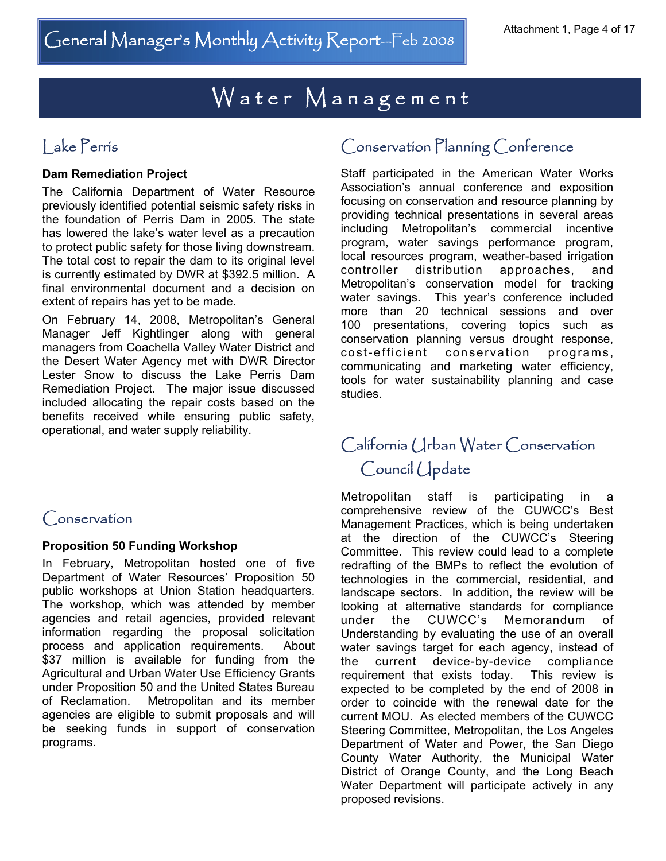#### **Dam Remediation Project**

The California Department of Water Resource previously identified potential seismic safety risks in the foundation of Perris Dam in 2005. The state has lowered the lake's water level as a precaution to protect public safety for those living downstream. The total cost to repair the dam to its original level is currently estimated by DWR at \$392.5 million. A final environmental document and a decision on extent of repairs has yet to be made.

On February 14, 2008, Metropolitan's General Manager Jeff Kightlinger along with general managers from Coachella Valley Water District and the Desert Water Agency met with DWR Director Lester Snow to discuss the Lake Perris Dam Remediation Project. The major issue discussed included allocating the repair costs based on the benefits received while ensuring public safety, operational, and water supply reliability.

## Conservation

#### **Proposition 50 Funding Workshop**

In February, Metropolitan hosted one of five Department of Water Resources' Proposition 50 public workshops at Union Station headquarters. The workshop, which was attended by member agencies and retail agencies, provided relevant information regarding the proposal solicitation process and application requirements. About \$37 million is available for funding from the Agricultural and Urban Water Use Efficiency Grants under Proposition 50 and the United States Bureau of Reclamation. Metropolitan and its member agencies are eligible to submit proposals and will be seeking funds in support of conservation programs.

### Lake Perris **Conservation Planning Conference**

Staff participated in the American Water Works Association's annual conference and exposition focusing on conservation and resource planning by providing technical presentations in several areas including Metropolitan's commercial incentive program, water savings performance program, local resources program, weather-based irrigation controller distribution approaches, and Metropolitan's conservation model for tracking water savings. This year's conference included more than 20 technical sessions and over 100 presentations, covering topics such as conservation planning versus drought response, cost-efficient conservation programs, communicating and marketing water efficiency, tools for water sustainability planning and case studies.

## California Urban Water Conservation Council Update

Metropolitan staff is participating in comprehensive review of the CUWCC's Best Management Practices, which is being undertaken at the direction of the CUWCC's Steering Committee. This review could lead to a complete redrafting of the BMPs to reflect the evolution of technologies in the commercial, residential, and landscape sectors. In addition, the review will be looking at alternative standards for compliance under the CUWCC's Memorandum of Understanding by evaluating the use of an overall water savings target for each agency, instead of the current device-by-device compliance requirement that exists today. This review is expected to be completed by the end of 2008 in order to coincide with the renewal date for the current MOU. As elected members of the CUWCC Steering Committee, Metropolitan, the Los Angeles Department of Water and Power, the San Diego County Water Authority, the Municipal Water District of Orange County, and the Long Beach Water Department will participate actively in any proposed revisions.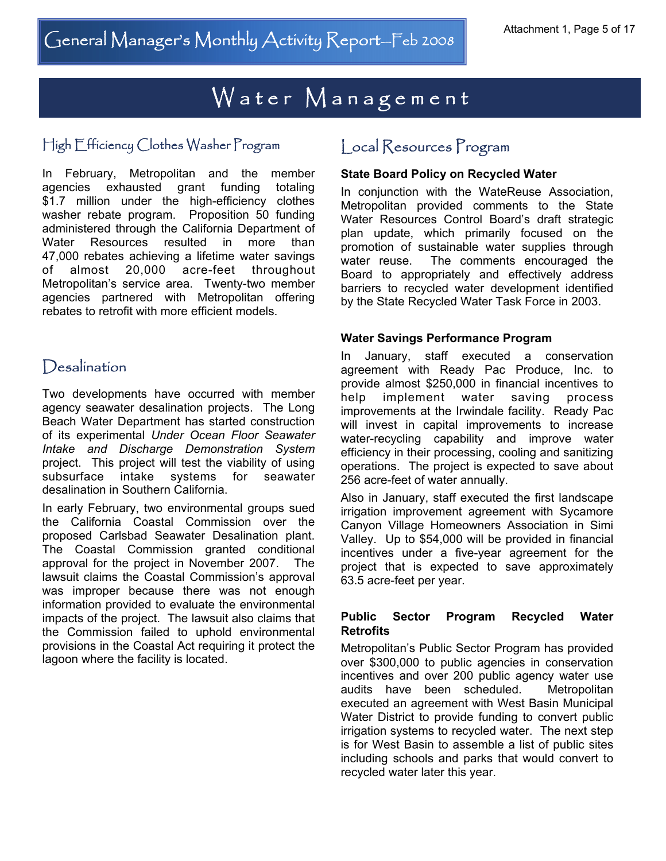#### High Efficiency Clothes Washer Program Local Resources Program

In February, Metropolitan and the member agencies exhausted grant funding totaling \$1.7 million under the high-efficiency clothes washer rebate program. Proposition 50 funding administered through the California Department of Water Resources resulted in more than 47,000 rebates achieving a lifetime water savings of almost 20,000 acre-feet throughout Metropolitan's service area. Twenty-two member agencies partnered with Metropolitan offering rebates to retrofit with more efficient models.

#### Desalination

Two developments have occurred with member agency seawater desalination projects. The Long Beach Water Department has started construction of its experimental *Under Ocean Floor Seawater Intake and Discharge Demonstration System* project. This project will test the viability of using subsurface intake systems for seawater desalination in Southern California.

In early February, two environmental groups sued the California Coastal Commission over the proposed Carlsbad Seawater Desalination plant. The Coastal Commission granted conditional approval for the project in November 2007. The lawsuit claims the Coastal Commission's approval was improper because there was not enough information provided to evaluate the environmental impacts of the project. The lawsuit also claims that the Commission failed to uphold environmental provisions in the Coastal Act requiring it protect the lagoon where the facility is located.

#### **State Board Policy on Recycled Water**

In conjunction with the WateReuse Association, Metropolitan provided comments to the State Water Resources Control Board's draft strategic plan update, which primarily focused on the promotion of sustainable water supplies through water reuse. The comments encouraged the Board to appropriately and effectively address barriers to recycled water development identified by the State Recycled Water Task Force in 2003.

#### **Water Savings Performance Program**

In January, staff executed a conservation agreement with Ready Pac Produce, Inc. to provide almost \$250,000 in financial incentives to help implement water saving process improvements at the Irwindale facility. Ready Pac will invest in capital improvements to increase water-recycling capability and improve water efficiency in their processing, cooling and sanitizing operations. The project is expected to save about 256 acre-feet of water annually.

Also in January, staff executed the first landscape irrigation improvement agreement with Sycamore Canyon Village Homeowners Association in Simi Valley. Up to \$54,000 will be provided in financial incentives under a five-year agreement for the project that is expected to save approximately 63.5 acre-feet per year.

#### **Public Sector Program Recycled Water Retrofits**

Metropolitan's Public Sector Program has provided over \$300,000 to public agencies in conservation incentives and over 200 public agency water use audits have been scheduled. Metropolitan executed an agreement with West Basin Municipal Water District to provide funding to convert public irrigation systems to recycled water. The next step is for West Basin to assemble a list of public sites including schools and parks that would convert to recycled water later this year.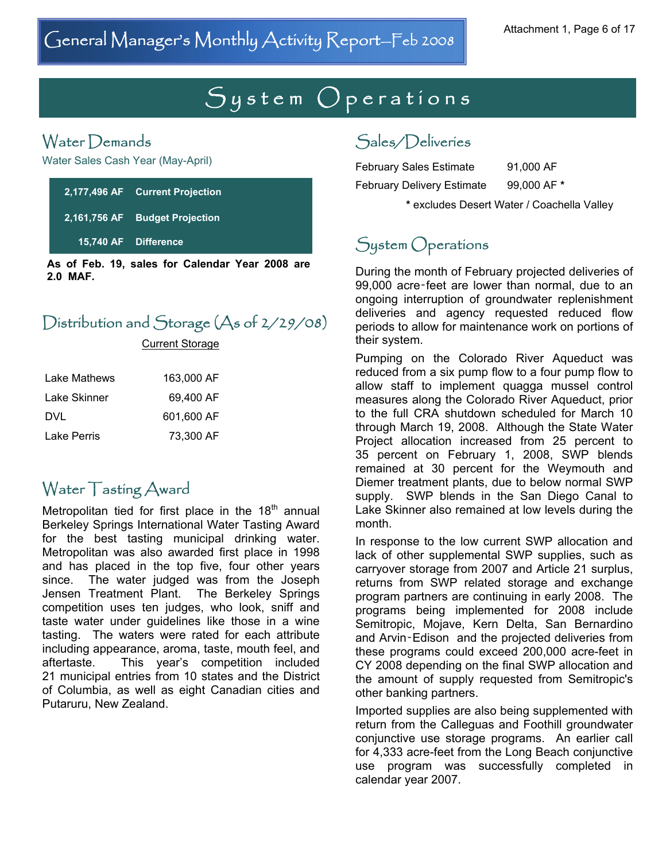# $System$  Operations

## Water Demands

Water Sales Cash Year (May-April)

| 2,177,496 AF Current Projection |
|---------------------------------|
| 2,161,756 AF Budget Projection  |
| 15,740 AF Difference            |
|                                 |

**As of Feb. 19, sales for Calendar Year 2008 are 2.0 MAF.**

## Distribution and Storage (As of 2/29/08)

Current Storage

| Lake Mathews | 163.000 AF |
|--------------|------------|
| Lake Skinner | 69.400 AF  |
| DVL          | 601.600 AF |
| Lake Perris  | 73,300 AF  |

## Water Tasting Award

Metropolitan tied for first place in the  $18<sup>th</sup>$  annual Berkeley Springs International Water Tasting Award for the best tasting municipal drinking water. Metropolitan was also awarded first place in 1998 and has placed in the top five, four other years since. The water judged was from the Joseph Jensen Treatment Plant. The Berkeley Springs competition uses ten judges, who look, sniff and taste water under guidelines like those in a wine tasting. The waters were rated for each attribute including appearance, aroma, taste, mouth feel, and aftertaste. This year's competition included 21 municipal entries from 10 states and the District of Columbia, as well as eight Canadian cities and Putaruru, New Zealand.

### Sales/Deliveries

February Sales Estimate 91,000 AF February Delivery Estimate 99,000 AF **\***

**\*** excludes Desert Water / Coachella Valley

## System Operations

During the month of February projected deliveries of 99,000 acre‑feet are lower than normal, due to an ongoing interruption of groundwater replenishment deliveries and agency requested reduced flow periods to allow for maintenance work on portions of their system.

Pumping on the Colorado River Aqueduct was reduced from a six pump flow to a four pump flow to allow staff to implement quagga mussel control measures along the Colorado River Aqueduct, prior to the full CRA shutdown scheduled for March 10 through March 19, 2008. Although the State Water Project allocation increased from 25 percent to 35 percent on February 1, 2008, SWP blends remained at 30 percent for the Weymouth and Diemer treatment plants, due to below normal SWP supply. SWP blends in the San Diego Canal to Lake Skinner also remained at low levels during the month.

In response to the low current SWP allocation and lack of other supplemental SWP supplies, such as carryover storage from 2007 and Article 21 surplus, returns from SWP related storage and exchange program partners are continuing in early 2008. The programs being implemented for 2008 include Semitropic, Mojave, Kern Delta, San Bernardino and Arvin‑Edison and the projected deliveries from these programs could exceed 200,000 acre-feet in CY 2008 depending on the final SWP allocation and the amount of supply requested from Semitropic's other banking partners.

Imported supplies are also being supplemented with return from the Calleguas and Foothill groundwater conjunctive use storage programs. An earlier call for 4,333 acre-feet from the Long Beach conjunctive use program was successfully completed in calendar year 2007.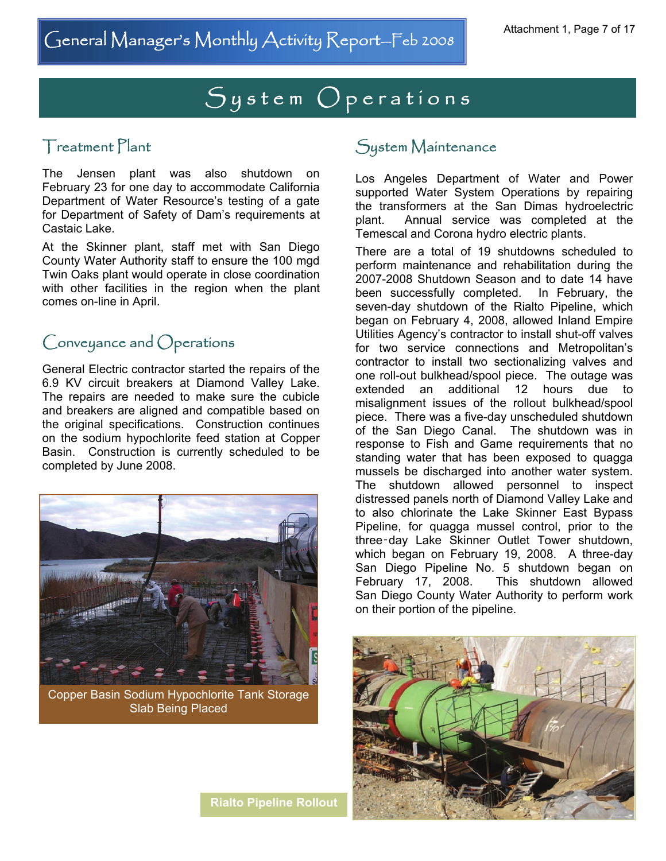# System Operations

#### Treatment Plant

The Jensen plant was also shutdown on February 23 for one day to accommodate California Department of Water Resource's testing of a gate for Department of Safety of Dam's requirements at Castaic Lake.

At the Skinner plant, staff met with San Diego County Water Authority staff to ensure the 100 mgd Twin Oaks plant would operate in close coordination with other facilities in the region when the plant comes on-line in April.

## Conveyance and Operations

General Electric contractor started the repairs of the 6.9 KV circuit breakers at Diamond Valley Lake. The repairs are needed to make sure the cubicle and breakers are aligned and compatible based on the original specifications. Construction continues on the sodium hypochlorite feed station at Copper Basin. Construction is currently scheduled to be completed by June 2008.



Copper Basin Sodium Hypochlorite Tank Storage Slab Being Placed

#### **Rialto Pipeline Rollout**

#### System Maintenance

Los Angeles Department of Water and Power supported Water System Operations by repairing the transformers at the San Dimas hydroelectric plant. Annual service was completed at the Temescal and Corona hydro electric plants.

There are a total of 19 shutdowns scheduled to perform maintenance and rehabilitation during the 2007-2008 Shutdown Season and to date 14 have been successfully completed. In February, the seven-day shutdown of the Rialto Pipeline, which began on February 4, 2008, allowed Inland Empire Utilities Agency's contractor to install shut-off valves for two service connections and Metropolitan's contractor to install two sectionalizing valves and one roll-out bulkhead/spool piece. The outage was extended an additional 12 hours due to misalignment issues of the rollout bulkhead/spool piece. There was a five-day unscheduled shutdown of the San Diego Canal. The shutdown was in response to Fish and Game requirements that no standing water that has been exposed to quagga mussels be discharged into another water system. The shutdown allowed personnel to inspect distressed panels north of Diamond Valley Lake and to also chlorinate the Lake Skinner East Bypass Pipeline, for quagga mussel control, prior to the three‑day Lake Skinner Outlet Tower shutdown, which began on February 19, 2008. A three-day San Diego Pipeline No. 5 shutdown began on February 17, 2008. This shutdown allowed San Diego County Water Authority to perform work on their portion of the pipeline.

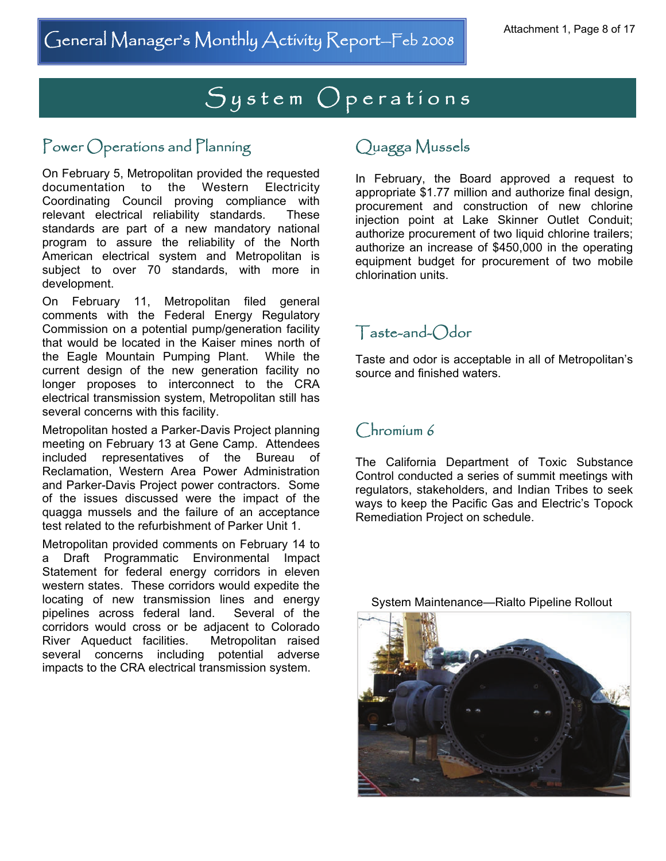# System Operations

## Power Operations and Planning

On February 5, Metropolitan provided the requested documentation to the Western Electricity Coordinating Council proving compliance with relevant electrical reliability standards. These standards are part of a new mandatory national program to assure the reliability of the North American electrical system and Metropolitan is subject to over 70 standards, with more in development.

On February 11, Metropolitan filed general comments with the Federal Energy Regulatory Commission on a potential pump/generation facility that would be located in the Kaiser mines north of the Eagle Mountain Pumping Plant. While the current design of the new generation facility no longer proposes to interconnect to the CRA electrical transmission system, Metropolitan still has several concerns with this facility.

Metropolitan hosted a Parker-Davis Project planning meeting on February 13 at Gene Camp. Attendees included representatives of the Bureau of Reclamation, Western Area Power Administration and Parker-Davis Project power contractors. Some of the issues discussed were the impact of the quagga mussels and the failure of an acceptance test related to the refurbishment of Parker Unit 1.

Metropolitan provided comments on February 14 to a Draft Programmatic Environmental Impact Statement for federal energy corridors in eleven western states. These corridors would expedite the locating of new transmission lines and energy pipelines across federal land. Several of the corridors would cross or be adjacent to Colorado River Aqueduct facilities. Metropolitan raised several concerns including potential adverse impacts to the CRA electrical transmission system.

### Quagga Mussels

In February, the Board approved a request to appropriate \$1.77 million and authorize final design, procurement and construction of new chlorine injection point at Lake Skinner Outlet Conduit; authorize procurement of two liquid chlorine trailers; authorize an increase of \$450,000 in the operating equipment budget for procurement of two mobile chlorination units.

## Taste-and-Odor

Taste and odor is acceptable in all of Metropolitan's source and finished waters.

#### Chromium 6

The California Department of Toxic Substance Control conducted a series of summit meetings with regulators, stakeholders, and Indian Tribes to seek ways to keep the Pacific Gas and Electric's Topock Remediation Project on schedule.



System Maintenance—Rialto Pipeline Rollout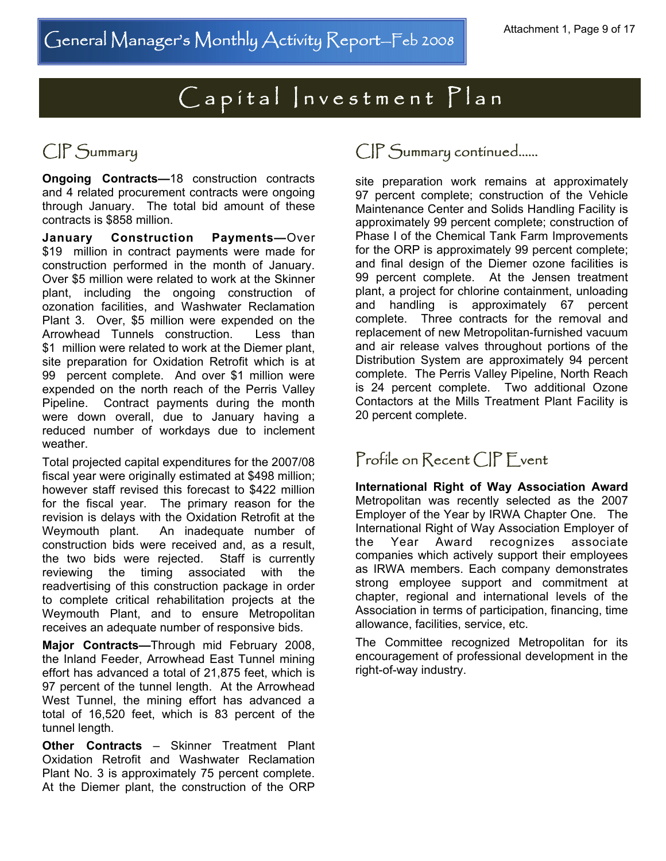# $\overline{C}$  a p it al  $|n$ v e s t m e n t  $\overline{Pl}$  a n

**Ongoing Contracts—**18 construction contracts and 4 related procurement contracts were ongoing through January. The total bid amount of these contracts is \$858 million.

**January Construction Payments—**Over \$19 million in contract payments were made for construction performed in the month of January. Over \$5 million were related to work at the Skinner plant, including the ongoing construction of ozonation facilities, and Washwater Reclamation Plant 3. Over, \$5 million were expended on the Arrowhead Tunnels construction. Less than \$1 million were related to work at the Diemer plant, site preparation for Oxidation Retrofit which is at 99 percent complete. And over \$1 million were expended on the north reach of the Perris Valley Pipeline. Contract payments during the month were down overall, due to January having a reduced number of workdays due to inclement weather.

Total projected capital expenditures for the 2007/08 fiscal year were originally estimated at \$498 million; however staff revised this forecast to \$422 million for the fiscal year. The primary reason for the revision is delays with the Oxidation Retrofit at the Weymouth plant. An inadequate number of construction bids were received and, as a result, the two bids were rejected. Staff is currently reviewing the timing associated with the readvertising of this construction package in order to complete critical rehabilitation projects at the Weymouth Plant, and to ensure Metropolitan receives an adequate number of responsive bids.

**Major Contracts—**Through mid February 2008, the Inland Feeder, Arrowhead East Tunnel mining effort has advanced a total of 21,875 feet, which is 97 percent of the tunnel length. At the Arrowhead West Tunnel, the mining effort has advanced a total of 16,520 feet, which is 83 percent of the tunnel length.

**Other Contracts** – Skinner Treatment Plant Oxidation Retrofit and Washwater Reclamation Plant No. 3 is approximately 75 percent complete. At the Diemer plant, the construction of the ORP

## CIP Summary CIP Summary continued......

site preparation work remains at approximately 97 percent complete; construction of the Vehicle Maintenance Center and Solids Handling Facility is approximately 99 percent complete; construction of Phase I of the Chemical Tank Farm Improvements for the ORP is approximately 99 percent complete; and final design of the Diemer ozone facilities is 99 percent complete. At the Jensen treatment plant, a project for chlorine containment, unloading and handling is approximately 67 percent complete. Three contracts for the removal and replacement of new Metropolitan-furnished vacuum and air release valves throughout portions of the Distribution System are approximately 94 percent complete. The Perris Valley Pipeline, North Reach is 24 percent complete. Two additional Ozone Contactors at the Mills Treatment Plant Facility is 20 percent complete.

## Profile on Recent CIP F vent

**International Right of Way Association Award**  Metropolitan was recently selected as the 2007 Employer of the Year by IRWA Chapter One. The International Right of Way Association Employer of the Year Award recognizes associate companies which actively support their employees as IRWA members. Each company demonstrates strong employee support and commitment at chapter, regional and international levels of the Association in terms of participation, financing, time allowance, facilities, service, etc.

The Committee recognized Metropolitan for its encouragement of professional development in the right-of-way industry.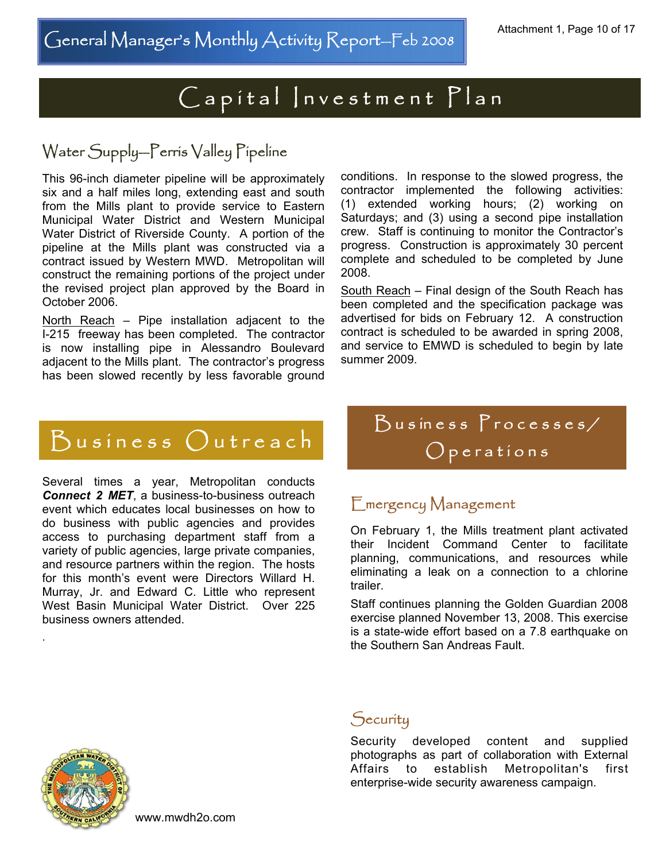# Capital Investment Plan

## Water Supply—Perris Valley Pipeline

This 96-inch diameter pipeline will be approximately six and a half miles long, extending east and south from the Mills plant to provide service to Eastern Municipal Water District and Western Municipal Water District of Riverside County. A portion of the pipeline at the Mills plant was constructed via a contract issued by Western MWD. Metropolitan will construct the remaining portions of the project under the revised project plan approved by the Board in October 2006.

North Reach – Pipe installation adjacent to the I-215 freeway has been completed. The contractor is now installing pipe in Alessandro Boulevard adjacent to the Mills plant. The contractor's progress has been slowed recently by less favorable ground

conditions. In response to the slowed progress, the contractor implemented the following activities: (1) extended working hours; (2) working on Saturdays; and (3) using a second pipe installation crew. Staff is continuing to monitor the Contractor's progress. Construction is approximately 30 percent complete and scheduled to be completed by June 2008.

South Reach – Final design of the South Reach has been completed and the specification package was advertised for bids on February 12. A construction contract is scheduled to be awarded in spring 2008, and service to EMWD is scheduled to begin by late summer 2009.

# $B$ usiness  $O$ utreach

Several times a year, Metropolitan conducts *Connect 2 MET*, a business-to-business outreach event which educates local businesses on how to do business with public agencies and provides access to purchasing department staff from a variety of public agencies, large private companies, and resource partners within the region. The hosts for this month's event were Directors Willard H. Murray, Jr. and Edward C. Little who represent West Basin Municipal Water District. Over 225 business owners attended.

Business Processes/  $O$  p e rations

#### Emergency Management

On February 1, the Mills treatment plant activated their Incident Command Center to facilitate planning, communications, and resources while eliminating a leak on a connection to a chlorine trailer.

Staff continues planning the Golden Guardian 2008 exercise planned November 13, 2008. This exercise is a state-wide effort based on a 7.8 earthquake on the Southern San Andreas Fault.



.

#### **Security**

Security developed content and supplied photographs as part of collaboration with External Affairs to establish Metropolitan's first enterprise-wide security awareness campaign.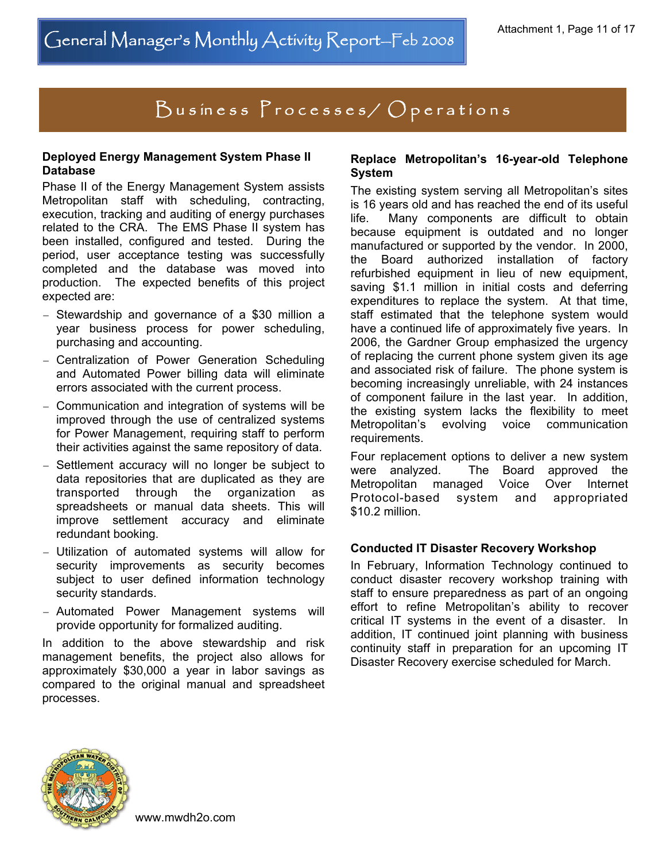# Business Processes/ Operations

#### **Deployed Energy Management System Phase II Database**

Phase II of the Energy Management System assists Metropolitan staff with scheduling, contracting, execution, tracking and auditing of energy purchases related to the CRA. The EMS Phase II system has been installed, configured and tested. During the period, user acceptance testing was successfully completed and the database was moved into production. The expected benefits of this project expected are:

- − Stewardship and governance of a \$30 million a year business process for power scheduling, purchasing and accounting.
- − Centralization of Power Generation Scheduling and Automated Power billing data will eliminate errors associated with the current process.
- − Communication and integration of systems will be improved through the use of centralized systems for Power Management, requiring staff to perform their activities against the same repository of data.
- − Settlement accuracy will no longer be subject to data repositories that are duplicated as they are transported through the organization as spreadsheets or manual data sheets. This will improve settlement accuracy and eliminate redundant booking.
- − Utilization of automated systems will allow for security improvements as security becomes subject to user defined information technology security standards.
- − Automated Power Management systems will provide opportunity for formalized auditing.

In addition to the above stewardship and risk management benefits, the project also allows for approximately \$30,000 a year in labor savings as compared to the original manual and spreadsheet processes.

#### **Replace Metropolitan's 16-year-old Telephone System**

The existing system serving all Metropolitan's sites is 16 years old and has reached the end of its useful life. Many components are difficult to obtain because equipment is outdated and no longer manufactured or supported by the vendor. In 2000, the Board authorized installation of factory refurbished equipment in lieu of new equipment, saving \$1.1 million in initial costs and deferring expenditures to replace the system. At that time, staff estimated that the telephone system would have a continued life of approximately five years. In 2006, the Gardner Group emphasized the urgency of replacing the current phone system given its age and associated risk of failure. The phone system is becoming increasingly unreliable, with 24 instances of component failure in the last year. In addition, the existing system lacks the flexibility to meet Metropolitan's evolving voice communication requirements.

Four replacement options to deliver a new system were analyzed. The Board approved the Metropolitan managed Voice Over Internet Protocol-based system and appropriated \$10.2 million.

#### **Conducted IT Disaster Recovery Workshop**

In February, Information Technology continued to conduct disaster recovery workshop training with staff to ensure preparedness as part of an ongoing effort to refine Metropolitan's ability to recover critical IT systems in the event of a disaster. In addition, IT continued joint planning with business continuity staff in preparation for an upcoming IT Disaster Recovery exercise scheduled for March.

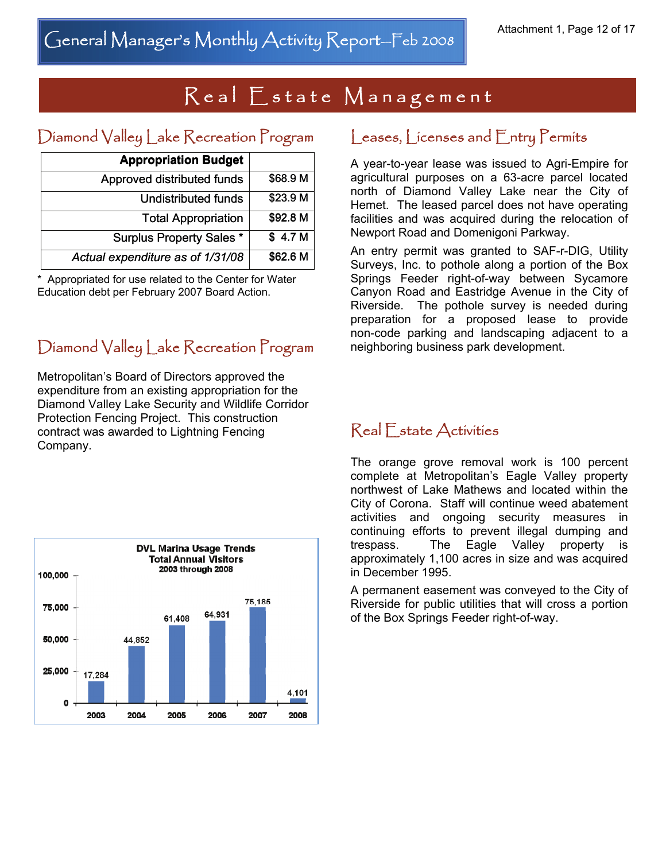# Real Estate Management

## Diamond Valley Lake Recreation Program

| <b>Appropriation Budget</b>      |                    |
|----------------------------------|--------------------|
| Approved distributed funds       | \$68.9 M           |
| <b>Undistributed funds</b>       | \$23.9 M           |
| <b>Total Appropriation</b>       | \$92.8 M           |
| <b>Surplus Property Sales *</b>  | \$4.7 <sub>M</sub> |
| Actual expenditure as of 1/31/08 | \$62.6 M           |

\* Appropriated for use related to the Center for Water Education debt per February 2007 Board Action.

## Diamond Valley Lake Recreation Program

Metropolitan's Board of Directors approved the expenditure from an existing appropriation for the Diamond Valley Lake Security and Wildlife Corridor Protection Fencing Project. This construction contract was awarded to Lightning Fencing Company.



#### Leases, Licenses and Entry Permits

A year-to-year lease was issued to Agri-Empire for agricultural purposes on a 63-acre parcel located north of Diamond Valley Lake near the City of Hemet. The leased parcel does not have operating facilities and was acquired during the relocation of Newport Road and Domenigoni Parkway.

An entry permit was granted to SAF-r-DIG, Utility Surveys, Inc. to pothole along a portion of the Box Springs Feeder right-of-way between Sycamore Canyon Road and Eastridge Avenue in the City of Riverside. The pothole survey is needed during preparation for a proposed lease to provide non-code parking and landscaping adjacent to a neighboring business park development.

#### Real Estate Activities

The orange grove removal work is 100 percent complete at Metropolitan's Eagle Valley property northwest of Lake Mathews and located within the City of Corona. Staff will continue weed abatement activities and ongoing security measures in continuing efforts to prevent illegal dumping and trespass. The Eagle Valley property is approximately 1,100 acres in size and was acquired in December 1995.

A permanent easement was conveyed to the City of Riverside for public utilities that will cross a portion of the Box Springs Feeder right-of-way.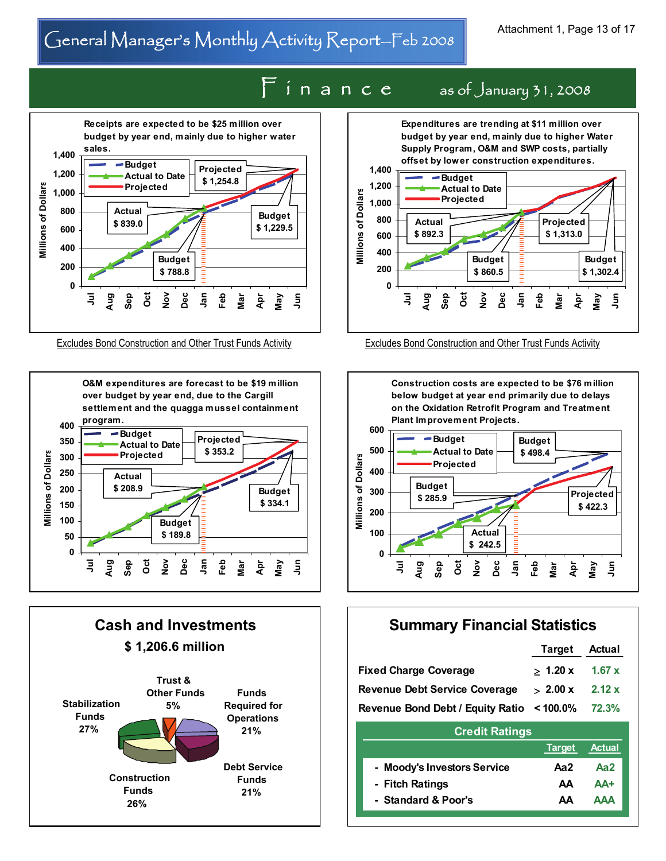# General Manager's Monthly Activity Report-Feb 2008 Attachment 1, Page 13 of 17







# $F$  i n a n c e as of January 31, 2008



Excludes Bond Construction and Other Trust Funds Activity Excludes Bond Construction and Other Trust Funds Activity



#### **Summary Financial Statistics**

|                                                 | Target Actual       |  |  |
|-------------------------------------------------|---------------------|--|--|
| <b>Fixed Charge Coverage</b>                    | $> 1.20 x - 1.67 x$ |  |  |
| <b>Revenue Debt Service Coverage</b>            | $> 2.00 x$ 2.12 x   |  |  |
| Revenue Bond Debt / Equity Ratio < 100.0% 72.3% |                     |  |  |
| <b>Credit Ratings</b>                           |                     |  |  |

|                             |     | Target Actual |
|-----------------------------|-----|---------------|
| - Moody's Investors Service | Aa2 | Aa2           |
| - Fitch Ratings             | ΑA. | AA+           |
| - Standard & Poor's         | ΔΔ  | AAA           |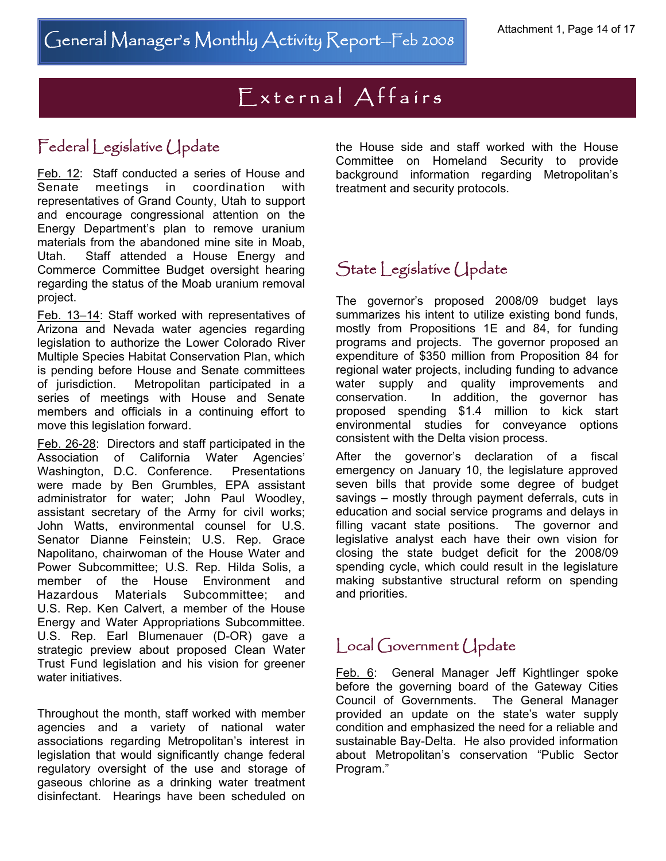# External Affairs

## Federal Legislative Update

Feb. 12: Staff conducted a series of House and Senate meetings in coordination with representatives of Grand County, Utah to support and encourage congressional attention on the Energy Department's plan to remove uranium materials from the abandoned mine site in Moab, Utah. Staff attended a House Energy and Commerce Committee Budget oversight hearing regarding the status of the Moab uranium removal project.

Feb. 13-14: Staff worked with representatives of Arizona and Nevada water agencies regarding legislation to authorize the Lower Colorado River Multiple Species Habitat Conservation Plan, which is pending before House and Senate committees of jurisdiction. Metropolitan participated in a series of meetings with House and Senate members and officials in a continuing effort to move this legislation forward.

Feb. 26-28: Directors and staff participated in the Association of California Water Agencies' Washington, D.C. Conference. Presentations were made by Ben Grumbles, EPA assistant administrator for water; John Paul Woodley, assistant secretary of the Army for civil works; John Watts, environmental counsel for U.S. Senator Dianne Feinstein; U.S. Rep. Grace Napolitano, chairwoman of the House Water and Power Subcommittee; U.S. Rep. Hilda Solis, a member of the House Environment and Hazardous Materials Subcommittee; and U.S. Rep. Ken Calvert, a member of the House Energy and Water Appropriations Subcommittee. U.S. Rep. Earl Blumenauer (D-OR) gave a strategic preview about proposed Clean Water Trust Fund legislation and his vision for greener water initiatives.

Throughout the month, staff worked with member agencies and a variety of national water associations regarding Metropolitan's interest in legislation that would significantly change federal regulatory oversight of the use and storage of gaseous chlorine as a drinking water treatment disinfectant. Hearings have been scheduled on

the House side and staff worked with the House Committee on Homeland Security to provide background information regarding Metropolitan's treatment and security protocols.

## State Legislative Update

The governor's proposed 2008/09 budget lays summarizes his intent to utilize existing bond funds, mostly from Propositions 1E and 84, for funding programs and projects. The governor proposed an expenditure of \$350 million from Proposition 84 for regional water projects, including funding to advance water supply and quality improvements and conservation. In addition, the governor has proposed spending \$1.4 million to kick start environmental studies for conveyance options consistent with the Delta vision process.

After the governor's declaration of a fiscal emergency on January 10, the legislature approved seven bills that provide some degree of budget savings – mostly through payment deferrals, cuts in education and social service programs and delays in filling vacant state positions. The governor and legislative analyst each have their own vision for closing the state budget deficit for the 2008/09 spending cycle, which could result in the legislature making substantive structural reform on spending and priorities.

#### Local Government Update

Feb. 6: General Manager Jeff Kightlinger spoke before the governing board of the Gateway Cities Council of Governments. The General Manager provided an update on the state's water supply condition and emphasized the need for a reliable and sustainable Bay-Delta. He also provided information about Metropolitan's conservation "Public Sector Program."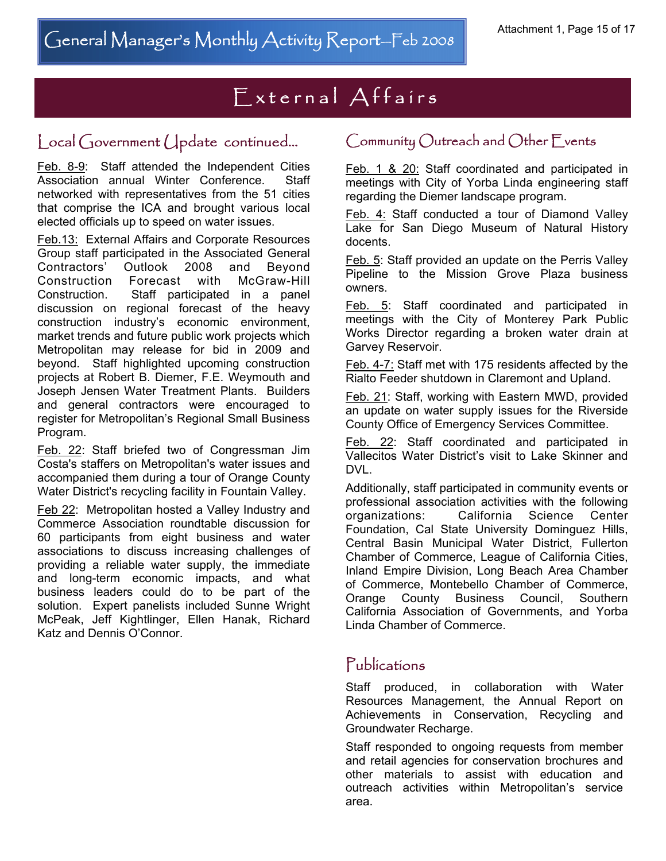# External Affairs

## Local Government Update continued...

Feb. 8-9: Staff attended the Independent Cities Association annual Winter Conference. Staff networked with representatives from the 51 cities that comprise the ICA and brought various local elected officials up to speed on water issues.

Feb.13: External Affairs and Corporate Resources Group staff participated in the Associated General Contractors' Outlook 2008 and Beyond Construction Forecast with McGraw-Hill Construction. Staff participated in a panel discussion on regional forecast of the heavy construction industry's economic environment, market trends and future public work projects which Metropolitan may release for bid in 2009 and beyond. Staff highlighted upcoming construction projects at Robert B. Diemer, F.E. Weymouth and Joseph Jensen Water Treatment Plants. Builders and general contractors were encouraged to register for Metropolitan's Regional Small Business Program.

Feb. 22: Staff briefed two of Congressman Jim Costa's staffers on Metropolitan's water issues and accompanied them during a tour of Orange County Water District's recycling facility in Fountain Valley.

Feb 22: Metropolitan hosted a Valley Industry and Commerce Association roundtable discussion for 60 participants from eight business and water associations to discuss increasing challenges of providing a reliable water supply, the immediate and long-term economic impacts, and what business leaders could do to be part of the solution. Expert panelists included Sunne Wright McPeak, Jeff Kightlinger, Ellen Hanak, Richard Katz and Dennis O'Connor.

#### Community Outreach and Other Events

Feb. 1 & 20: Staff coordinated and participated in meetings with City of Yorba Linda engineering staff regarding the Diemer landscape program.

Feb. 4: Staff conducted a tour of Diamond Valley Lake for San Diego Museum of Natural History docents.

Feb. 5: Staff provided an update on the Perris Valley Pipeline to the Mission Grove Plaza business owners.

Feb. 5: Staff coordinated and participated in meetings with the City of Monterey Park Public Works Director regarding a broken water drain at Garvey Reservoir.

Feb. 4-7: Staff met with 175 residents affected by the Rialto Feeder shutdown in Claremont and Upland.

Feb. 21: Staff, working with Eastern MWD, provided an update on water supply issues for the Riverside County Office of Emergency Services Committee.

Feb. 22: Staff coordinated and participated in Vallecitos Water District's visit to Lake Skinner and DVL.

Additionally, staff participated in community events or professional association activities with the following organizations: California Science Center Foundation, Cal State University Dominguez Hills, Central Basin Municipal Water District, Fullerton Chamber of Commerce, League of California Cities, Inland Empire Division, Long Beach Area Chamber of Commerce, Montebello Chamber of Commerce, Orange County Business Council, Southern California Association of Governments, and Yorba Linda Chamber of Commerce.

#### Publications

Staff produced, in collaboration with Water Resources Management, the Annual Report on Achievements in Conservation, Recycling and Groundwater Recharge.

Staff responded to ongoing requests from member and retail agencies for conservation brochures and other materials to assist with education and outreach activities within Metropolitan's service area.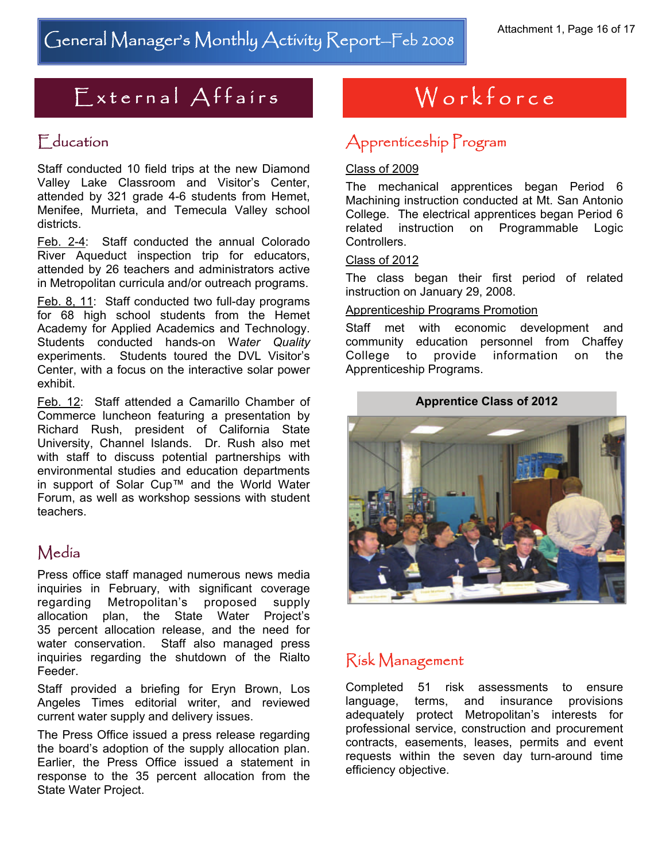# $External$  Affairs

### Education

Staff conducted 10 field trips at the new Diamond Valley Lake Classroom and Visitor's Center, attended by 321 grade 4-6 students from Hemet, Menifee, Murrieta, and Temecula Valley school districts.

Feb. 2-4: Staff conducted the annual Colorado River Aqueduct inspection trip for educators, attended by 26 teachers and administrators active in Metropolitan curricula and/or outreach programs.

Feb. 8, 11: Staff conducted two full-day programs for 68 high school students from the Hemet Academy for Applied Academics and Technology. Students conducted hands-on W*ater Quality* experiments. Students toured the DVL Visitor's Center, with a focus on the interactive solar power exhibit.

Feb. 12: Staff attended a Camarillo Chamber of Commerce luncheon featuring a presentation by Richard Rush, president of California State University, Channel Islands. Dr. Rush also met with staff to discuss potential partnerships with environmental studies and education departments in support of Solar Cup™ and the World Water Forum, as well as workshop sessions with student teachers.

## Media

Press office staff managed numerous news media inquiries in February, with significant coverage regarding Metropolitan's proposed supply allocation plan, the State Water Project's 35 percent allocation release, and the need for water conservation. Staff also managed press inquiries regarding the shutdown of the Rialto Feeder.

Staff provided a briefing for Eryn Brown, Los Angeles Times editorial writer, and reviewed current water supply and delivery issues.

The Press Office issued a press release regarding the board's adoption of the supply allocation plan. Earlier, the Press Office issued a statement in response to the 35 percent allocation from the State Water Project.

# Workforce

## Apprenticeship Program

#### Class of 2009

The mechanical apprentices began Period 6 Machining instruction conducted at Mt. San Antonio College. The electrical apprentices began Period 6 related instruction on Programmable Logic Controllers.

#### Class of 2012

The class began their first period of related instruction on January 29, 2008.

#### Apprenticeship Programs Promotion

Staff met with economic development and community education personnel from Chaffey College to provide information on the Apprenticeship Programs.



## Risk Management

Completed 51 risk assessments to ensure language, terms, and insurance provisions adequately protect Metropolitan's interests for professional service, construction and procurement contracts, easements, leases, permits and event requests within the seven day turn-around time efficiency objective.